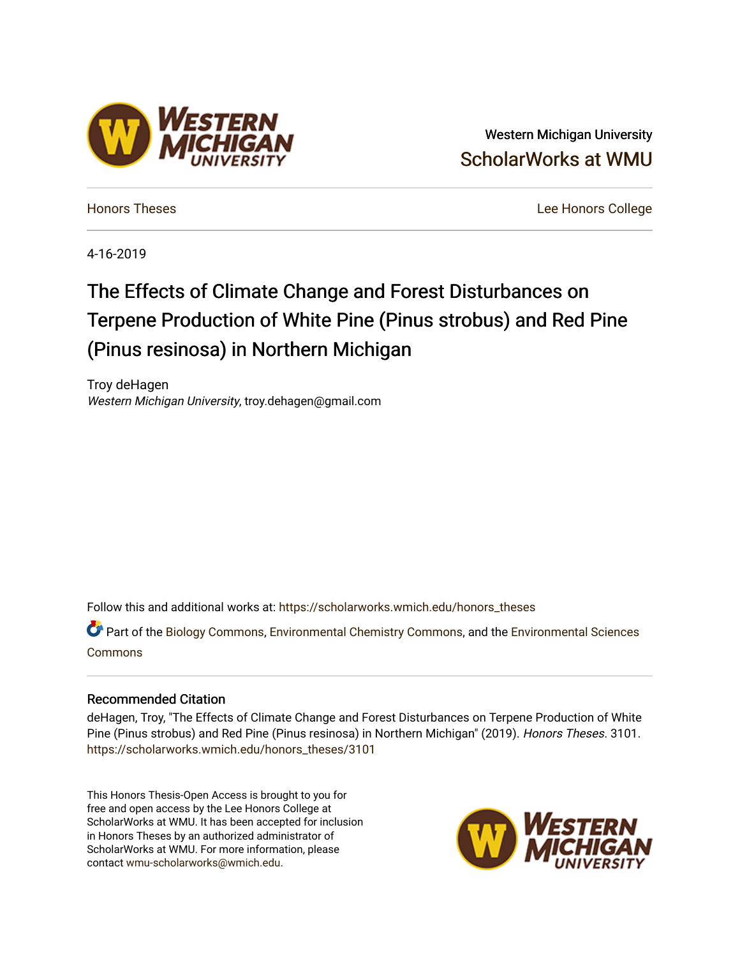# Western Michigan University [ScholarWorks at WMU](https://scholarworks.wmich.edu/)

[Honors Theses](https://scholarworks.wmich.edu/honors_theses) [Lee Honors College](https://scholarworks.wmich.edu/honors) 

4-16-2019

# The Effects of Climate Change and Forest Disturbances on Terpene Production of White Pine (Pinus strobus) and Red Pine (Pinus resinosa) in Northern Michigan

Troy deHagen Western Michigan University, troy.dehagen@gmail.com

Follow this and additional works at: [https://scholarworks.wmich.edu/honors\\_theses](https://scholarworks.wmich.edu/honors_theses?utm_source=scholarworks.wmich.edu%2Fhonors_theses%2F3101&utm_medium=PDF&utm_campaign=PDFCoverPages)

Part of the [Biology Commons,](http://network.bepress.com/hgg/discipline/41?utm_source=scholarworks.wmich.edu%2Fhonors_theses%2F3101&utm_medium=PDF&utm_campaign=PDFCoverPages) [Environmental Chemistry Commons,](http://network.bepress.com/hgg/discipline/134?utm_source=scholarworks.wmich.edu%2Fhonors_theses%2F3101&utm_medium=PDF&utm_campaign=PDFCoverPages) and the [Environmental Sciences](http://network.bepress.com/hgg/discipline/167?utm_source=scholarworks.wmich.edu%2Fhonors_theses%2F3101&utm_medium=PDF&utm_campaign=PDFCoverPages) [Commons](http://network.bepress.com/hgg/discipline/167?utm_source=scholarworks.wmich.edu%2Fhonors_theses%2F3101&utm_medium=PDF&utm_campaign=PDFCoverPages)

# Recommended Citation

deHagen, Troy, "The Effects of Climate Change and Forest Disturbances on Terpene Production of White Pine (Pinus strobus) and Red Pine (Pinus resinosa) in Northern Michigan" (2019). Honors Theses. 3101. [https://scholarworks.wmich.edu/honors\\_theses/3101](https://scholarworks.wmich.edu/honors_theses/3101?utm_source=scholarworks.wmich.edu%2Fhonors_theses%2F3101&utm_medium=PDF&utm_campaign=PDFCoverPages) 

This Honors Thesis-Open Access is brought to you for free and open access by the Lee Honors College at ScholarWorks at WMU. It has been accepted for inclusion in Honors Theses by an authorized administrator of ScholarWorks at WMU. For more information, please contact [wmu-scholarworks@wmich.edu](mailto:wmu-scholarworks@wmich.edu).



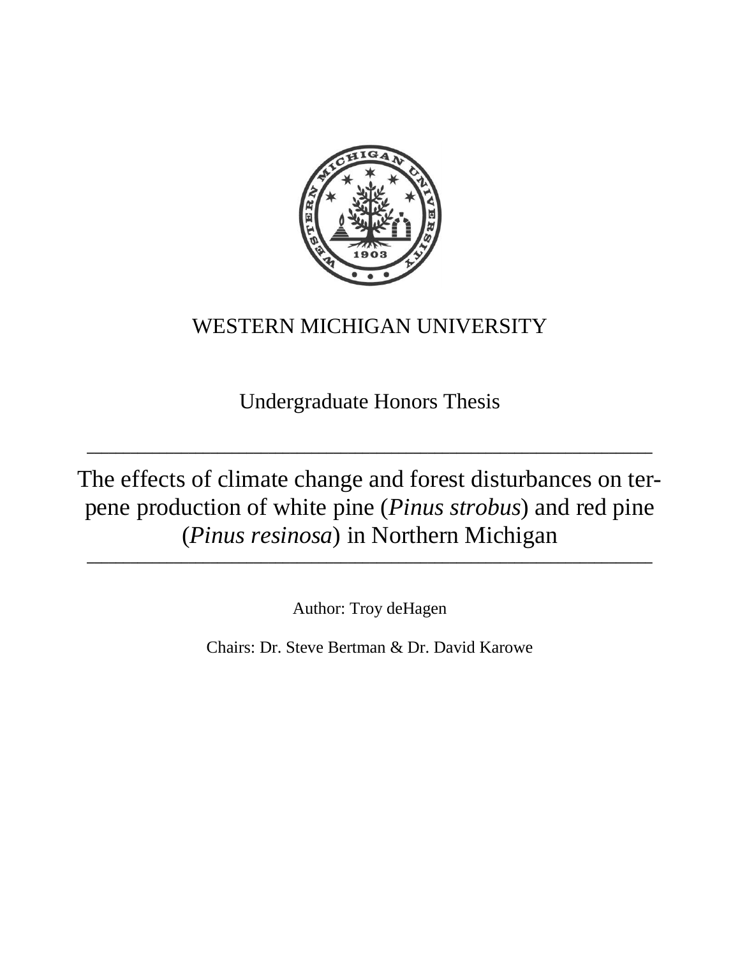

# WESTERN MICHIGAN UNIVERSITY

Undergraduate Honors Thesis

**\_\_\_\_\_\_\_\_\_\_\_\_\_\_\_\_\_\_\_\_\_\_\_\_\_\_\_\_\_\_\_\_\_\_\_\_\_\_\_\_\_\_\_\_\_\_\_\_\_\_\_\_\_\_\_\_\_\_\_\_\_\_\_\_\_\_\_\_\_\_\_\_\_\_\_\_\_\_**

The effects of climate change and forest disturbances on terpene production of white pine (*Pinus strobus*) and red pine (*Pinus resinosa*) in Northern Michigan **\_\_\_\_\_\_\_\_\_\_\_\_\_\_\_\_\_\_\_\_\_\_\_\_\_\_\_\_\_\_\_\_\_\_\_\_\_\_\_\_\_\_\_\_\_\_\_\_\_\_\_\_\_\_\_\_\_\_\_\_\_\_\_\_\_\_\_\_\_\_\_\_\_\_\_\_\_\_**

Author: Troy deHagen

Chairs: Dr. Steve Bertman & Dr. David Karowe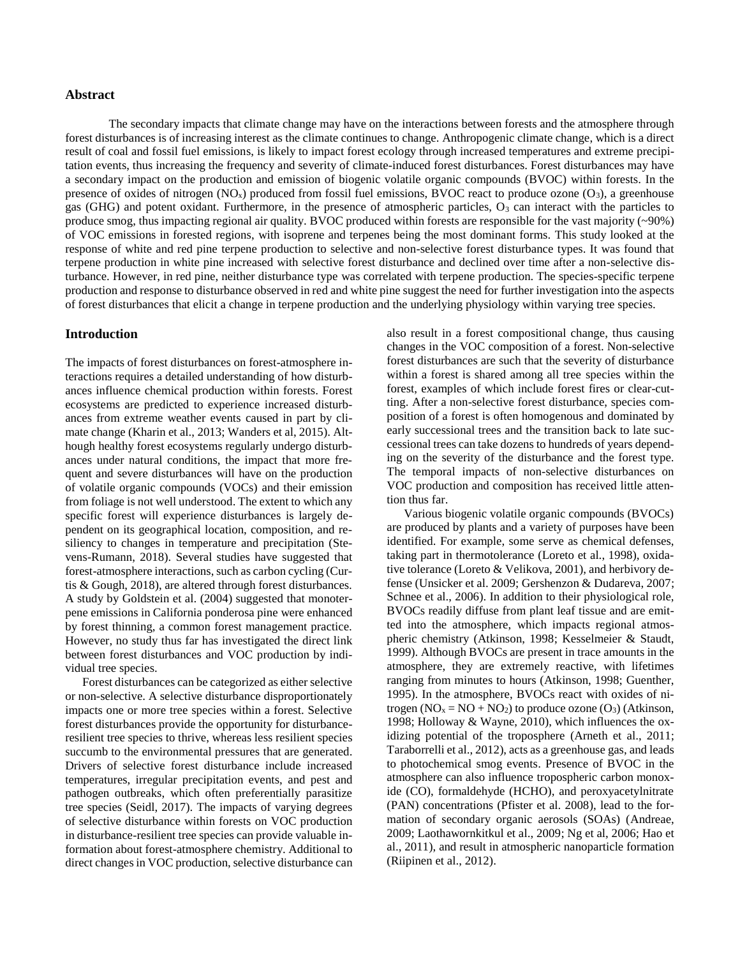#### **Abstract**

The secondary impacts that climate change may have on the interactions between forests and the atmosphere through forest disturbances is of increasing interest as the climate continues to change. Anthropogenic climate change, which is a direct result of coal and fossil fuel emissions, is likely to impact forest ecology through increased temperatures and extreme precipitation events, thus increasing the frequency and severity of climate-induced forest disturbances. Forest disturbances may have a secondary impact on the production and emission of biogenic volatile organic compounds (BVOC) within forests. In the presence of oxides of nitrogen  $(NO_x)$  produced from fossil fuel emissions, BVOC react to produce ozone  $(O_3)$ , a greenhouse gas (GHG) and potent oxidant. Furthermore, in the presence of atmospheric particles,  $O_3$  can interact with the particles to produce smog, thus impacting regional air quality. BVOC produced within forests are responsible for the vast majority (~90%) of VOC emissions in forested regions, with isoprene and terpenes being the most dominant forms. This study looked at the response of white and red pine terpene production to selective and non-selective forest disturbance types. It was found that terpene production in white pine increased with selective forest disturbance and declined over time after a non-selective disturbance. However, in red pine, neither disturbance type was correlated with terpene production. The species-specific terpene production and response to disturbance observed in red and white pine suggest the need for further investigation into the aspects of forest disturbances that elicit a change in terpene production and the underlying physiology within varying tree species.

#### **Introduction**

The impacts of forest disturbances on forest-atmosphere interactions requires a detailed understanding of how disturbances influence chemical production within forests. Forest ecosystems are predicted to experience increased disturbances from extreme weather events caused in part by climate change (Kharin et al., 2013; Wanders et al, 2015). Although healthy forest ecosystems regularly undergo disturbances under natural conditions, the impact that more frequent and severe disturbances will have on the production of volatile organic compounds (VOCs) and their emission from foliage is not well understood. The extent to which any specific forest will experience disturbances is largely dependent on its geographical location, composition, and resiliency to changes in temperature and precipitation (Stevens-Rumann, 2018). Several studies have suggested that forest-atmosphere interactions, such as carbon cycling (Curtis & Gough, 2018), are altered through forest disturbances. A study by Goldstein et al. (2004) suggested that monoterpene emissions in California ponderosa pine were enhanced by forest thinning, a common forest management practice. However, no study thus far has investigated the direct link between forest disturbances and VOC production by individual tree species.

Forest disturbances can be categorized as either selective or non-selective. A selective disturbance disproportionately impacts one or more tree species within a forest. Selective forest disturbances provide the opportunity for disturbanceresilient tree species to thrive, whereas less resilient species succumb to the environmental pressures that are generated. Drivers of selective forest disturbance include increased temperatures, irregular precipitation events, and pest and pathogen outbreaks, which often preferentially parasitize tree species (Seidl, 2017). The impacts of varying degrees of selective disturbance within forests on VOC production in disturbance-resilient tree species can provide valuable information about forest-atmosphere chemistry. Additional to direct changes in VOC production, selective disturbance can also result in a forest compositional change, thus causing changes in the VOC composition of a forest. Non-selective forest disturbances are such that the severity of disturbance within a forest is shared among all tree species within the forest, examples of which include forest fires or clear-cutting. After a non-selective forest disturbance, species composition of a forest is often homogenous and dominated by early successional trees and the transition back to late successional trees can take dozens to hundreds of years depending on the severity of the disturbance and the forest type. The temporal impacts of non-selective disturbances on VOC production and composition has received little attention thus far.

Various biogenic volatile organic compounds (BVOCs) are produced by plants and a variety of purposes have been identified. For example, some serve as chemical defenses, taking part in thermotolerance (Loreto et al., 1998), oxidative tolerance (Loreto & Velikova, 2001), and herbivory defense (Unsicker et al. 2009; Gershenzon & Dudareva, 2007; Schnee et al., 2006). In addition to their physiological role, BVOCs readily diffuse from plant leaf tissue and are emitted into the atmosphere, which impacts regional atmospheric chemistry (Atkinson, 1998; Kesselmeier & Staudt, 1999). Although BVOCs are present in trace amounts in the atmosphere, they are extremely reactive, with lifetimes ranging from minutes to hours (Atkinson, 1998; Guenther, 1995). In the atmosphere, BVOCs react with oxides of nitrogen ( $NO<sub>x</sub> = NO + NO<sub>2</sub>$ ) to produce ozone ( $O<sub>3</sub>$ ) (Atkinson, 1998; Holloway & Wayne, 2010), which influences the oxidizing potential of the troposphere (Arneth et al., 2011; Taraborrelli et al., 2012), acts as a greenhouse gas, and leads to photochemical smog events. Presence of BVOC in the atmosphere can also influence tropospheric carbon monoxide (CO), formaldehyde (HCHO), and peroxyacetylnitrate (PAN) concentrations (Pfister et al. 2008), lead to the formation of secondary organic aerosols (SOAs) (Andreae, 2009; Laothawornkitkul et al., 2009; Ng et al, 2006; Hao et al., 2011), and result in atmospheric nanoparticle formation (Riipinen et al., 2012).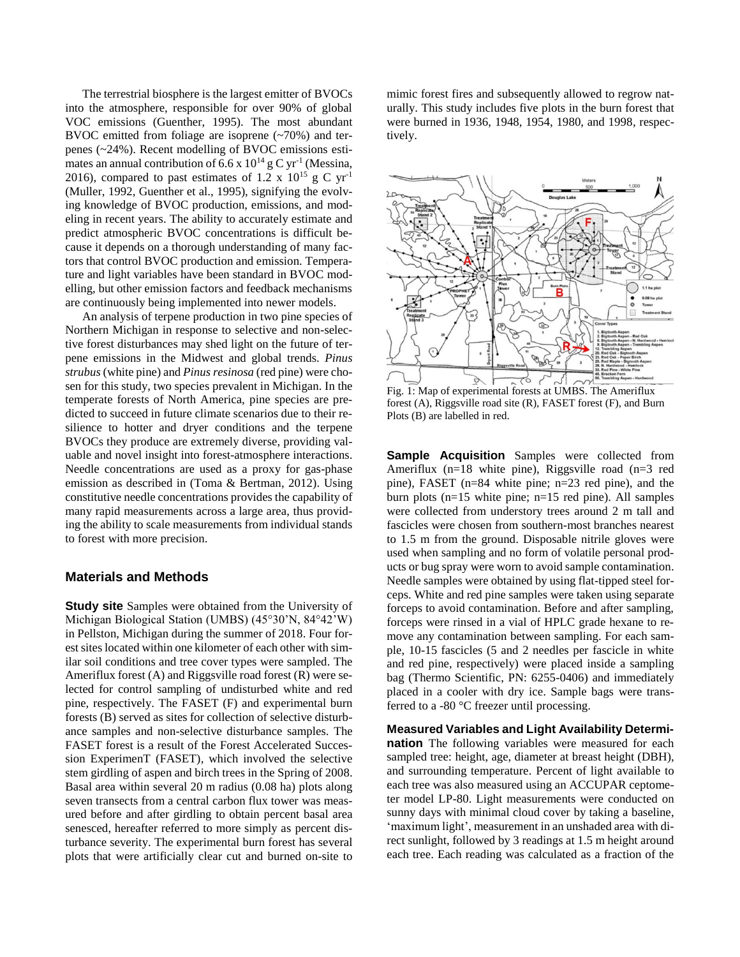The terrestrial biosphere is the largest emitter of BVOCs into the atmosphere, responsible for over 90% of global VOC emissions (Guenther, 1995). The most abundant BVOC emitted from foliage are isoprene (~70%) and terpenes (~24%). Recent modelling of BVOC emissions estimates an annual contribution of 6.6 x  $10^{14}$  g C yr<sup>-1</sup> (Messina, 2016), compared to past estimates of 1.2 x  $10^{15}$  g C yr<sup>-1</sup> (Muller, 1992, Guenther et al., 1995), signifying the evolving knowledge of BVOC production, emissions, and modeling in recent years. The ability to accurately estimate and predict atmospheric BVOC concentrations is difficult because it depends on a thorough understanding of many factors that control BVOC production and emission. Temperature and light variables have been standard in BVOC modelling, but other emission factors and feedback mechanisms are continuously being implemented into newer models.

An analysis of terpene production in two pine species of Northern Michigan in response to selective and non-selective forest disturbances may shed light on the future of terpene emissions in the Midwest and global trends. *Pinus strubus* (white pine) and *Pinus resinosa* (red pine) were chosen for this study, two species prevalent in Michigan. In the temperate forests of North America, pine species are predicted to succeed in future climate scenarios due to their resilience to hotter and dryer conditions and the terpene BVOCs they produce are extremely diverse, providing valuable and novel insight into forest-atmosphere interactions. Needle concentrations are used as a proxy for gas-phase emission as described in (Toma & Bertman, 2012). Using constitutive needle concentrations provides the capability of many rapid measurements across a large area, thus providing the ability to scale measurements from individual stands to forest with more precision.

### **Materials and Methods**

**Study site** Samples were obtained from the University of Michigan Biological Station (UMBS) (45°30'N, 84°42'W) in Pellston, Michigan during the summer of 2018. Four forest sites located within one kilometer of each other with similar soil conditions and tree cover types were sampled. The Ameriflux forest (A) and Riggsville road forest (R) were selected for control sampling of undisturbed white and red pine, respectively. The FASET (F) and experimental burn forests (B) served as sites for collection of selective disturbance samples and non-selective disturbance samples. The FASET forest is a result of the Forest Accelerated Succession ExperimenT (FASET), which involved the selective stem girdling of aspen and birch trees in the Spring of 2008. Basal area within several 20 m radius (0.08 ha) plots along seven transects from a central carbon flux tower was measured before and after girdling to obtain percent basal area senesced, hereafter referred to more simply as percent disturbance severity. The experimental burn forest has several plots that were artificially clear cut and burned on-site to

mimic forest fires and subsequently allowed to regrow naturally. This study includes five plots in the burn forest that were burned in 1936, 1948, 1954, 1980, and 1998, respectively.



Fig. 1: Map of experimental forests at UMBS. The Ameriflux forest (A), Riggsville road site (R), FASET forest (F), and Burn Plots (B) are labelled in red.

**Sample Acquisition** Samples were collected from Ameriflux (n=18 white pine), Riggsville road (n=3 red pine), FASET (n=84 white pine; n=23 red pine), and the burn plots (n=15 white pine; n=15 red pine). All samples were collected from understory trees around 2 m tall and fascicles were chosen from southern-most branches nearest to 1.5 m from the ground. Disposable nitrile gloves were used when sampling and no form of volatile personal products or bug spray were worn to avoid sample contamination. Needle samples were obtained by using flat-tipped steel forceps. White and red pine samples were taken using separate forceps to avoid contamination. Before and after sampling, forceps were rinsed in a vial of HPLC grade hexane to remove any contamination between sampling. For each sample, 10-15 fascicles (5 and 2 needles per fascicle in white and red pine, respectively) were placed inside a sampling bag (Thermo Scientific, PN: 6255-0406) and immediately placed in a cooler with dry ice. Sample bags were transferred to a -80 °C freezer until processing.

**Measured Variables and Light Availability Determination** The following variables were measured for each sampled tree: height, age, diameter at breast height (DBH), and surrounding temperature. Percent of light available to each tree was also measured using an ACCUPAR ceptometer model LP-80. Light measurements were conducted on sunny days with minimal cloud cover by taking a baseline, 'maximum light', measurement in an unshaded area with direct sunlight, followed by 3 readings at 1.5 m height around each tree. Each reading was calculated as a fraction of the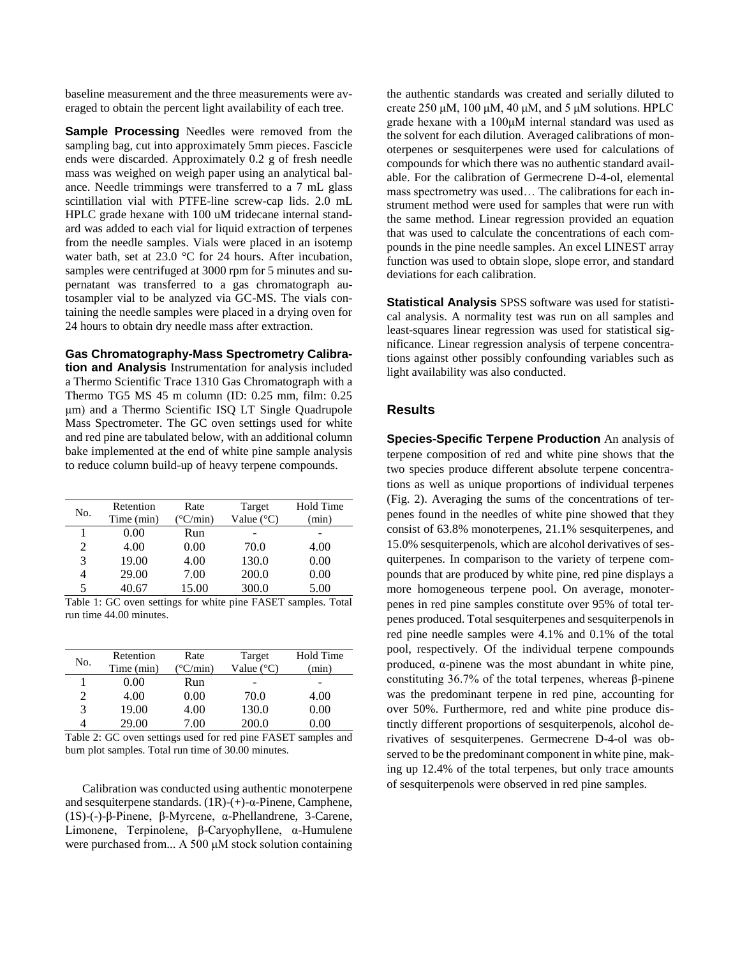baseline measurement and the three measurements were averaged to obtain the percent light availability of each tree.

**Sample Processing** Needles were removed from the sampling bag, cut into approximately 5mm pieces. Fascicle ends were discarded. Approximately 0.2 g of fresh needle mass was weighed on weigh paper using an analytical balance. Needle trimmings were transferred to a 7 mL glass scintillation vial with PTFE-line screw-cap lids. 2.0 mL HPLC grade hexane with 100 uM tridecane internal standard was added to each vial for liquid extraction of terpenes from the needle samples. Vials were placed in an isotemp water bath, set at 23.0 °C for 24 hours. After incubation, samples were centrifuged at 3000 rpm for 5 minutes and supernatant was transferred to a gas chromatograph autosampler vial to be analyzed via GC-MS. The vials containing the needle samples were placed in a drying oven for 24 hours to obtain dry needle mass after extraction.

**Gas Chromatography-Mass Spectrometry Calibration and Analysis** Instrumentation for analysis included a Thermo Scientific Trace 1310 Gas Chromatograph with a Thermo TG5 MS 45 m column (ID: 0.25 mm, film: 0.25 μm) and a Thermo Scientific ISQ LT Single Quadrupole Mass Spectrometer. The GC oven settings used for white and red pine are tabulated below, with an additional column bake implemented at the end of white pine sample analysis to reduce column build-up of heavy terpene compounds.

| No. | Retention  | Rate                     | Target              | Hold Time |
|-----|------------|--------------------------|---------------------|-----------|
|     | Time (min) | $(^{\circ}C/\text{min})$ | Value $(^{\circ}C)$ | (min)     |
|     | 0.00       | Run                      |                     |           |
| 2   | 4.00       | 0.00                     | 70.0                | 4.00      |
| 3   | 19.00      | 4.00                     | 130.0               | 0.00      |
| 4   | 29.00      | 7.00                     | 200.0               | 0.00      |
| 5   | 40.67      | 15.00                    | 300.0               | 5.00      |

Table 1: GC oven settings for white pine FASET samples. Total run time 44.00 minutes.

| No. | Retention  | Rate             | Target              | Hold Time |
|-----|------------|------------------|---------------------|-----------|
|     | Time (min) | $\mathrm{C/min}$ | Value $(^{\circ}C)$ | (min)     |
|     | 0.00       | Run              |                     |           |
| 2   | 4.00       | 0.00             | 70.0                | 4.00      |
| 3   | 19.00      | 4.00             | 130.0               | 0.00      |
|     | 29.00      | 7.00             | 200.0               | $0.00 -$  |

Table 2: GC oven settings used for red pine FASET samples and burn plot samples. Total run time of 30.00 minutes.

Calibration was conducted using authentic monoterpene and sesquiterpene standards. (1R)-(+)-α-Pinene, Camphene, (1S)-(-)-β-Pinene, β-Myrcene, α-Phellandrene, 3-Carene, Limonene, Terpinolene, β-Caryophyllene, α-Humulene were purchased from... A 500 μM stock solution containing

the authentic standards was created and serially diluted to create 250 μM, 100 μM, 40 μM, and 5 μM solutions. HPLC grade hexane with a 100μM internal standard was used as the solvent for each dilution. Averaged calibrations of monoterpenes or sesquiterpenes were used for calculations of compounds for which there was no authentic standard available. For the calibration of Germecrene D-4-ol, elemental mass spectrometry was used… The calibrations for each instrument method were used for samples that were run with the same method. Linear regression provided an equation that was used to calculate the concentrations of each compounds in the pine needle samples. An excel LINEST array function was used to obtain slope, slope error, and standard deviations for each calibration.

**Statistical Analysis** SPSS software was used for statistical analysis. A normality test was run on all samples and least-squares linear regression was used for statistical significance. Linear regression analysis of terpene concentrations against other possibly confounding variables such as light availability was also conducted.

### **Results**

**Species-Specific Terpene Production** An analysis of terpene composition of red and white pine shows that the two species produce different absolute terpene concentrations as well as unique proportions of individual terpenes (Fig. 2). Averaging the sums of the concentrations of terpenes found in the needles of white pine showed that they consist of 63.8% monoterpenes, 21.1% sesquiterpenes, and 15.0% sesquiterpenols, which are alcohol derivatives of sesquiterpenes. In comparison to the variety of terpene compounds that are produced by white pine, red pine displays a more homogeneous terpene pool. On average, monoterpenes in red pine samples constitute over 95% of total terpenes produced. Total sesquiterpenes and sesquiterpenols in red pine needle samples were 4.1% and 0.1% of the total pool, respectively. Of the individual terpene compounds produced, α-pinene was the most abundant in white pine, constituting 36.7% of the total terpenes, whereas β-pinene was the predominant terpene in red pine, accounting for over 50%. Furthermore, red and white pine produce distinctly different proportions of sesquiterpenols, alcohol derivatives of sesquiterpenes. Germecrene D-4-ol was observed to be the predominant component in white pine, making up 12.4% of the total terpenes, but only trace amounts of sesquiterpenols were observed in red pine samples.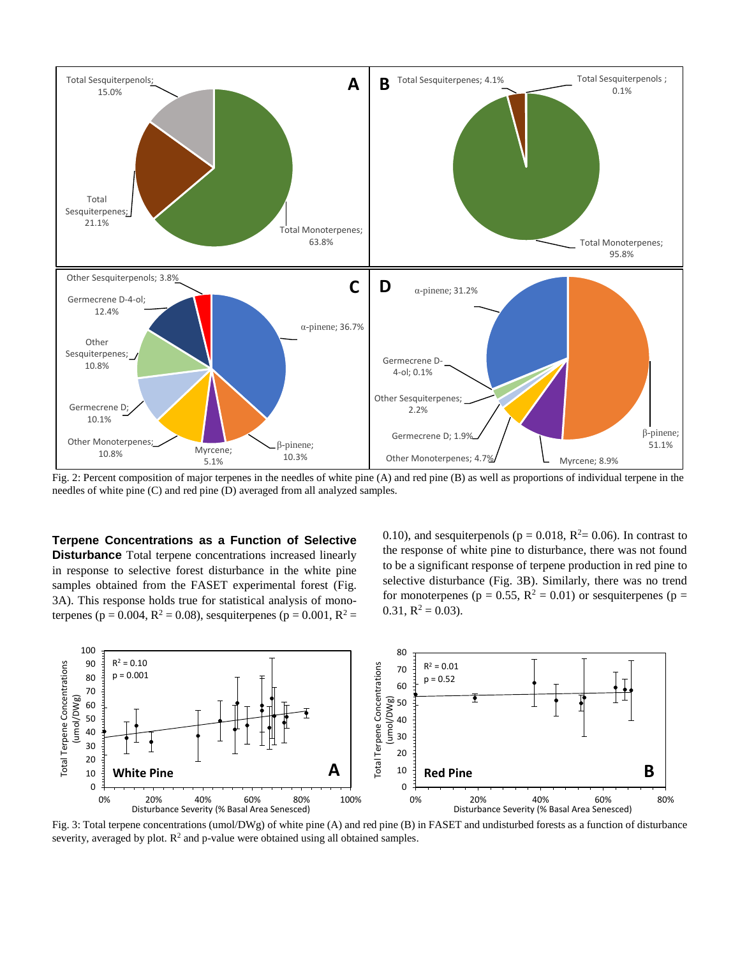

Fig. 2: Percent composition of major terpenes in the needles of white pine (A) and red pine (B) as well as proportions of individual terpene in the needles of white pine (C) and red pine (D) averaged from all analyzed samples.

**Terpene Concentrations as a Function of Selective Disturbance** Total terpene concentrations increased linearly in response to selective forest disturbance in the white pine samples obtained from the FASET experimental forest (Fig. 3A). This response holds true for statistical analysis of monoterpenes (p = 0.004,  $R^2$  = 0.08), sesquiterpenes (p = 0.001,  $R^2$  =

0.10), and sesquiterpenols ( $p = 0.018$ ,  $R^2 = 0.06$ ). In contrast to the response of white pine to disturbance, there was not found to be a significant response of terpene production in red pine to selective disturbance (Fig. 3B). Similarly, there was no trend for monoterpenes ( $p = 0.55$ ,  $R^2 = 0.01$ ) or sesquiterpenes ( $p =$  $0.31, R^2 = 0.03$ .



Fig. 3: Total terpene concentrations (umol/DWg) of white pine (A) and red pine (B) in FASET and undisturbed forests as a function of disturbance severity, averaged by plot.  $\mathbb{R}^2$  and p-value were obtained using all obtained samples.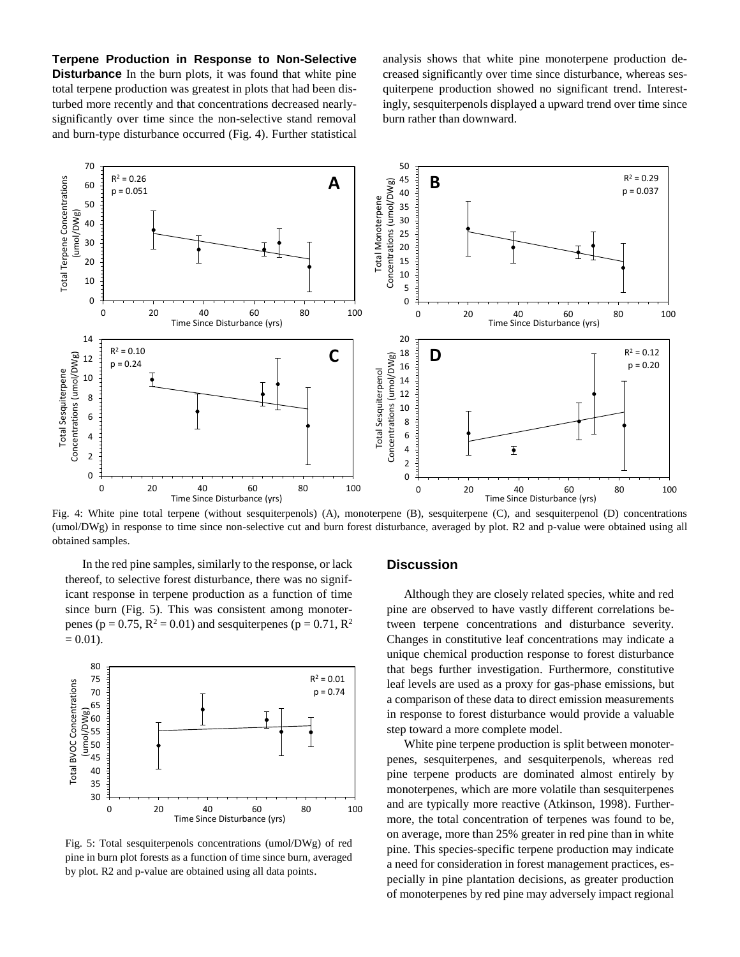**Terpene Production in Response to Non-Selective Disturbance** In the burn plots, it was found that white pine total terpene production was greatest in plots that had been disturbed more recently and that concentrations decreased nearlysignificantly over time since the non-selective stand removal and burn-type disturbance occurred (Fig. 4). Further statistical analysis shows that white pine monoterpene production decreased significantly over time since disturbance, whereas sesquiterpene production showed no significant trend. Interestingly, sesquiterpenols displayed a upward trend over time since burn rather than downward.



Fig. 4: White pine total terpene (without sesquiterpenols) (A), monoterpene (B), sesquiterpene (C), and sesquiterpenol (D) concentrations (umol/DWg) in response to time since non-selective cut and burn forest disturbance, averaged by plot. R2 and p-value were obtained using all obtained samples.

In the red pine samples, similarly to the response, or lack thereof, to selective forest disturbance, there was no significant response in terpene production as a function of time since burn (Fig. 5). This was consistent among monoterpenes ( $p = 0.75$ ,  $R^2 = 0.01$ ) and sesquiterpenes ( $p = 0.71$ ,  $R^2$  $= 0.01$ ).



Fig. 5: Total sesquiterpenols concentrations (umol/DWg) of red pine in burn plot forests as a function of time since burn, averaged by plot. R2 and p-value are obtained using all data points.

## **Discussion**

Although they are closely related species, white and red pine are observed to have vastly different correlations between terpene concentrations and disturbance severity. Changes in constitutive leaf concentrations may indicate a unique chemical production response to forest disturbance that begs further investigation. Furthermore, constitutive leaf levels are used as a proxy for gas-phase emissions, but a comparison of these data to direct emission measurements in response to forest disturbance would provide a valuable step toward a more complete model.

White pine terpene production is split between monoterpenes, sesquiterpenes, and sesquiterpenols, whereas red pine terpene products are dominated almost entirely by monoterpenes, which are more volatile than sesquiterpenes and are typically more reactive (Atkinson, 1998). Furthermore, the total concentration of terpenes was found to be, on average, more than 25% greater in red pine than in white pine. This species-specific terpene production may indicate a need for consideration in forest management practices, especially in pine plantation decisions, as greater production of monoterpenes by red pine may adversely impact regional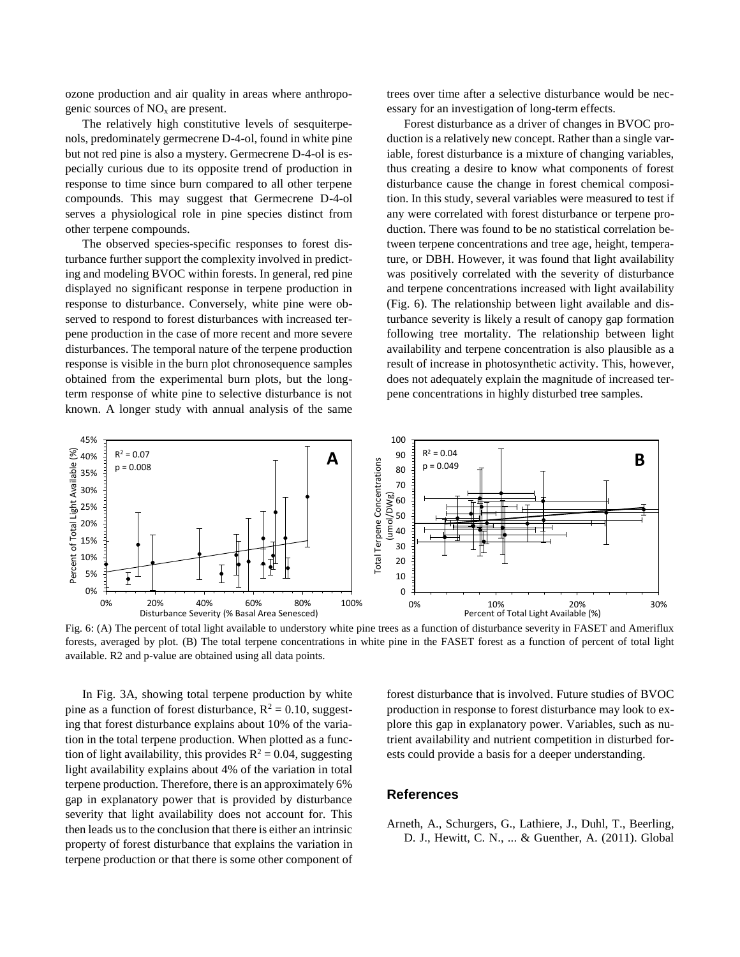ozone production and air quality in areas where anthropogenic sources of  $NO<sub>x</sub>$  are present.

The relatively high constitutive levels of sesquiterpenols, predominately germecrene D-4-ol, found in white pine but not red pine is also a mystery. Germecrene D-4-ol is especially curious due to its opposite trend of production in response to time since burn compared to all other terpene compounds. This may suggest that Germecrene D-4-ol serves a physiological role in pine species distinct from other terpene compounds.

The observed species-specific responses to forest disturbance further support the complexity involved in predicting and modeling BVOC within forests. In general, red pine displayed no significant response in terpene production in response to disturbance. Conversely, white pine were observed to respond to forest disturbances with increased terpene production in the case of more recent and more severe disturbances. The temporal nature of the terpene production response is visible in the burn plot chronosequence samples obtained from the experimental burn plots, but the longterm response of white pine to selective disturbance is not known. A longer study with annual analysis of the same

trees over time after a selective disturbance would be necessary for an investigation of long-term effects.

Forest disturbance as a driver of changes in BVOC production is a relatively new concept. Rather than a single variable, forest disturbance is a mixture of changing variables, thus creating a desire to know what components of forest disturbance cause the change in forest chemical composition. In this study, several variables were measured to test if any were correlated with forest disturbance or terpene production. There was found to be no statistical correlation between terpene concentrations and tree age, height, temperature, or DBH. However, it was found that light availability was positively correlated with the severity of disturbance and terpene concentrations increased with light availability (Fig. 6). The relationship between light available and disturbance severity is likely a result of canopy gap formation following tree mortality. The relationship between light availability and terpene concentration is also plausible as a result of increase in photosynthetic activity. This, however, does not adequately explain the magnitude of increased terpene concentrations in highly disturbed tree samples.



Fig. 6: (A) The percent of total light available to understory white pine trees as a function of disturbance severity in FASET and Ameriflux forests, averaged by plot. (B) The total terpene concentrations in white pine in the FASET forest as a function of percent of total light available. R2 and p-value are obtained using all data points.

In Fig. 3A, showing total terpene production by white pine as a function of forest disturbance,  $R^2 = 0.10$ , suggesting that forest disturbance explains about 10% of the variation in the total terpene production. When plotted as a function of light availability, this provides  $R^2 = 0.04$ , suggesting light availability explains about 4% of the variation in total terpene production. Therefore, there is an approximately 6% gap in explanatory power that is provided by disturbance severity that light availability does not account for. This then leads us to the conclusion that there is either an intrinsic property of forest disturbance that explains the variation in terpene production or that there is some other component of

forest disturbance that is involved. Future studies of BVOC production in response to forest disturbance may look to explore this gap in explanatory power. Variables, such as nutrient availability and nutrient competition in disturbed forests could provide a basis for a deeper understanding.

#### **References**

Arneth, A., Schurgers, G., Lathiere, J., Duhl, T., Beerling, D. J., Hewitt, C. N., ... & Guenther, A. (2011). Global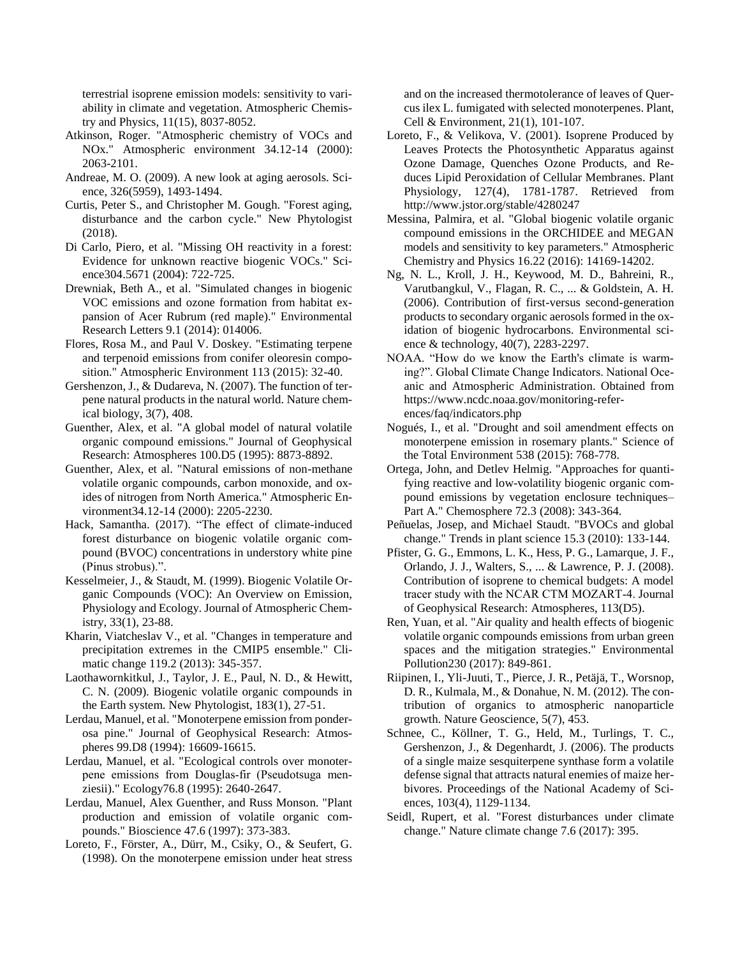terrestrial isoprene emission models: sensitivity to variability in climate and vegetation. Atmospheric Chemistry and Physics, 11(15), 8037-8052.

- Atkinson, Roger. "Atmospheric chemistry of VOCs and NOx." Atmospheric environment 34.12-14 (2000): 2063-2101.
- Andreae, M. O. (2009). A new look at aging aerosols. Science, 326(5959), 1493-1494.
- Curtis, Peter S., and Christopher M. Gough. "Forest aging, disturbance and the carbon cycle." New Phytologist (2018).
- Di Carlo, Piero, et al. "Missing OH reactivity in a forest: Evidence for unknown reactive biogenic VOCs." Science304.5671 (2004): 722-725.
- Drewniak, Beth A., et al. "Simulated changes in biogenic VOC emissions and ozone formation from habitat expansion of Acer Rubrum (red maple)." Environmental Research Letters 9.1 (2014): 014006.
- Flores, Rosa M., and Paul V. Doskey. "Estimating terpene and terpenoid emissions from conifer oleoresin composition." Atmospheric Environment 113 (2015): 32-40.
- Gershenzon, J., & Dudareva, N. (2007). The function of terpene natural products in the natural world. Nature chemical biology, 3(7), 408.
- Guenther, Alex, et al. "A global model of natural volatile organic compound emissions." Journal of Geophysical Research: Atmospheres 100.D5 (1995): 8873-8892.
- Guenther, Alex, et al. "Natural emissions of non-methane volatile organic compounds, carbon monoxide, and oxides of nitrogen from North America." Atmospheric Environment34.12-14 (2000): 2205-2230.
- Hack, Samantha. (2017). "The effect of climate-induced forest disturbance on biogenic volatile organic compound (BVOC) concentrations in understory white pine (Pinus strobus).".
- Kesselmeier, J., & Staudt, M. (1999). Biogenic Volatile Organic Compounds (VOC): An Overview on Emission, Physiology and Ecology. Journal of Atmospheric Chemistry, 33(1), 23-88.
- Kharin, Viatcheslav V., et al. "Changes in temperature and precipitation extremes in the CMIP5 ensemble." Climatic change 119.2 (2013): 345-357.
- Laothawornkitkul, J., Taylor, J. E., Paul, N. D., & Hewitt, C. N. (2009). Biogenic volatile organic compounds in the Earth system. New Phytologist, 183(1), 27-51.
- Lerdau, Manuel, et al. "Monoterpene emission from ponderosa pine." Journal of Geophysical Research: Atmospheres 99.D8 (1994): 16609-16615.
- Lerdau, Manuel, et al. "Ecological controls over monoterpene emissions from Douglas‐fir (Pseudotsuga menziesii)." Ecology76.8 (1995): 2640-2647.
- Lerdau, Manuel, Alex Guenther, and Russ Monson. "Plant production and emission of volatile organic compounds." Bioscience 47.6 (1997): 373-383.
- Loreto, F., Förster, A., Dürr, M., Csiky, O., & Seufert, G. (1998). On the monoterpene emission under heat stress

and on the increased thermotolerance of leaves of Quercus ilex L. fumigated with selected monoterpenes. Plant, Cell & Environment, 21(1), 101-107.

- Loreto, F., & Velikova, V. (2001). Isoprene Produced by Leaves Protects the Photosynthetic Apparatus against Ozone Damage, Quenches Ozone Products, and Reduces Lipid Peroxidation of Cellular Membranes. Plant Physiology, 127(4), 1781-1787. Retrieved from http://www.jstor.org/stable/4280247
- Messina, Palmira, et al. "Global biogenic volatile organic compound emissions in the ORCHIDEE and MEGAN models and sensitivity to key parameters." Atmospheric Chemistry and Physics 16.22 (2016): 14169-14202.
- Ng, N. L., Kroll, J. H., Keywood, M. D., Bahreini, R., Varutbangkul, V., Flagan, R. C., ... & Goldstein, A. H. (2006). Contribution of first-versus second-generation products to secondary organic aerosols formed in the oxidation of biogenic hydrocarbons. Environmental science & technology, 40(7), 2283-2297.
- NOAA. "How do we know the Earth's climate is warming?". Global Climate Change Indicators. National Oceanic and Atmospheric Administration. Obtained from https://www.ncdc.noaa.gov/monitoring-references/faq/indicators.php
- Nogués, I., et al. "Drought and soil amendment effects on monoterpene emission in rosemary plants." Science of the Total Environment 538 (2015): 768-778.
- Ortega, John, and Detlev Helmig. "Approaches for quantifying reactive and low-volatility biogenic organic compound emissions by vegetation enclosure techniques– Part A." Chemosphere 72.3 (2008): 343-364.
- Peñuelas, Josep, and Michael Staudt. "BVOCs and global change." Trends in plant science 15.3 (2010): 133-144.
- Pfister, G. G., Emmons, L. K., Hess, P. G., Lamarque, J. F., Orlando, J. J., Walters, S., ... & Lawrence, P. J. (2008). Contribution of isoprene to chemical budgets: A model tracer study with the NCAR CTM MOZART‐4. Journal of Geophysical Research: Atmospheres, 113(D5).
- Ren, Yuan, et al. "Air quality and health effects of biogenic volatile organic compounds emissions from urban green spaces and the mitigation strategies." Environmental Pollution230 (2017): 849-861.
- Riipinen, I., Yli-Juuti, T., Pierce, J. R., Petäjä, T., Worsnop, D. R., Kulmala, M., & Donahue, N. M. (2012). The contribution of organics to atmospheric nanoparticle growth. Nature Geoscience, 5(7), 453.
- Schnee, C., Köllner, T. G., Held, M., Turlings, T. C., Gershenzon, J., & Degenhardt, J. (2006). The products of a single maize sesquiterpene synthase form a volatile defense signal that attracts natural enemies of maize herbivores. Proceedings of the National Academy of Sciences, 103(4), 1129-1134.
- Seidl, Rupert, et al. "Forest disturbances under climate change." Nature climate change 7.6 (2017): 395.